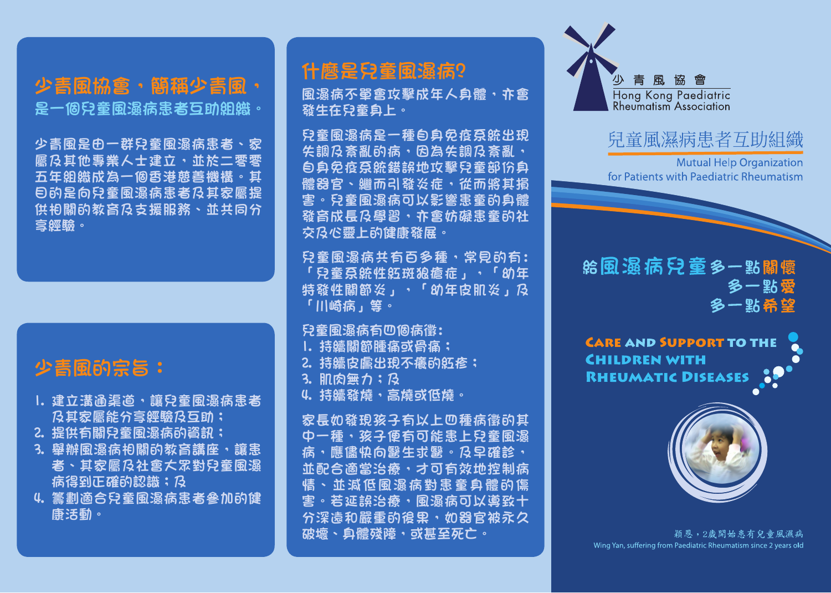是一個兒童風濕病患者互助組織。

少青風是由一群兒童風濕病患者、家 屬及其他專業人士建立,並於二零零 五年組織成為一個香港慈善機構。其 目的是向兒童風濕病患者及其家屬提 供相關的教育及支援服務、並共同分 享經驗。

# 少青風的宗旨:

- 1. 建立溝通渠道,讓兒童風濕病患者 及其家屬能分享經驗及互助;
- 2. 提供有關兒童風濕病的資訊;
- 3. 舉辦風濕病相關的教育講座,讓患 者、其家屬及社會大眾對兒童風濕 病得到正確的認識;及
- 4. 籌劃適合兒童風濕病患者參加的健 康活動。

# 少青風協會,簡稱少青風, 什麼是兒童風濕病?

風濕病不單會攻擊成年人身體,亦會 發生在兒童身上。

兒童風濕病是一種自身免疫系統出現 **失調及紊亂的病,因為失調及紊亂,** 自身免疫系統錯誤地攻擊兒童部份身 體器官、繼而引發炎症,從而將其損 害。兒童風濕病可以影響患童的身體 發育成長及學習,亦會妨礙患童的社 交及心靈上的健康發展。

兒童風濕病共有百多種,常見的有: 「兒童系統性紅斑狼瘡症」,「幼年 特發性關節炎」,「幼年皮肌炎」及 「川崎病」等。

兒童風濕病有四個病徵:

1. 持續關節腫痛或骨痛; 2. 持續皮膚出現不癢的紅疹; 3. 肌肉無力;及 4. 持續發燒,高燒或低燒。

家長如發現孩子有以上四種病徵的其 中一種,孩子便有可能患上兒童風濕 病,應儘快向醫生求醫。及早確診, 並配合適當治療,才可有效地控制病 情、並減低風濕病對患童身體的傷 害。若延誤治療,風濕病可以導致十 分深遠和嚴重的後果,如器官被永久 破壞、身體殘障,或甚至死亡。



## 兒童風濕病患者互助組織

**Mutual Help Organization** for Patients with Paediatric Rheumatism

### **給風湿病兒童多一點關懷** 多一點愛 多一點希望

**CARE AND SUPPORT TO THE CHILDREN WITH RHEUMATIC DISEASES** 



穎恩,2歲開始患有兒童風濕病 Wing Yan, suffering from Paediatric Rheumatism since 2 years old